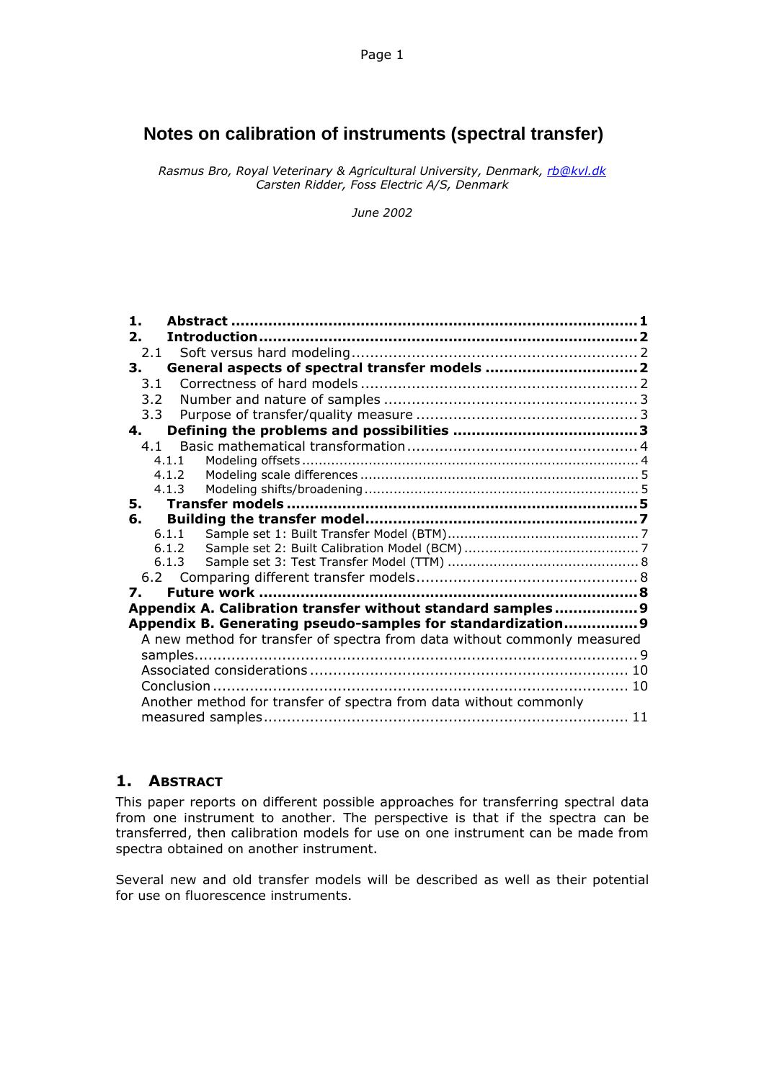# **Notes on calibration of instruments (spectral transfer)**

*Rasmus Bro, Royal Veterinary & Agricultural University, Denmark, rb@kvl.dk Carsten Ridder, Foss Electric A/S, Denmark*

*June 2002*

| $\mathbf{1}$ .                                                    |                                                                          |  |  |  |
|-------------------------------------------------------------------|--------------------------------------------------------------------------|--|--|--|
| $\mathbf{2}$ .                                                    |                                                                          |  |  |  |
| 2.1                                                               |                                                                          |  |  |  |
| 3.                                                                |                                                                          |  |  |  |
| 3.1                                                               |                                                                          |  |  |  |
| 3.2                                                               |                                                                          |  |  |  |
| 3.3                                                               |                                                                          |  |  |  |
| 4.                                                                |                                                                          |  |  |  |
| 4.1                                                               |                                                                          |  |  |  |
|                                                                   | 4.1.1                                                                    |  |  |  |
|                                                                   | 4.1.2                                                                    |  |  |  |
|                                                                   | 4.1.3                                                                    |  |  |  |
| 5.                                                                |                                                                          |  |  |  |
| 6.                                                                |                                                                          |  |  |  |
|                                                                   | 6.1.1                                                                    |  |  |  |
|                                                                   | 6.1.2                                                                    |  |  |  |
|                                                                   | 6.1.3                                                                    |  |  |  |
|                                                                   |                                                                          |  |  |  |
| 7.                                                                |                                                                          |  |  |  |
|                                                                   | Appendix A. Calibration transfer without standard samples 9              |  |  |  |
|                                                                   | Appendix B. Generating pseudo-samples for standardization 9              |  |  |  |
|                                                                   | A new method for transfer of spectra from data without commonly measured |  |  |  |
|                                                                   |                                                                          |  |  |  |
|                                                                   |                                                                          |  |  |  |
|                                                                   |                                                                          |  |  |  |
| Another method for transfer of spectra from data without commonly |                                                                          |  |  |  |
|                                                                   |                                                                          |  |  |  |

# **1. ABSTRACT**

This paper reports on different possible approaches for transferring spectral data from one instrument to another. The perspective is that if the spectra can be transferred, then calibration models for use on one instrument can be made from spectra obtained on another instrument.

Several new and old transfer models will be described as well as their potential for use on fluorescence instruments.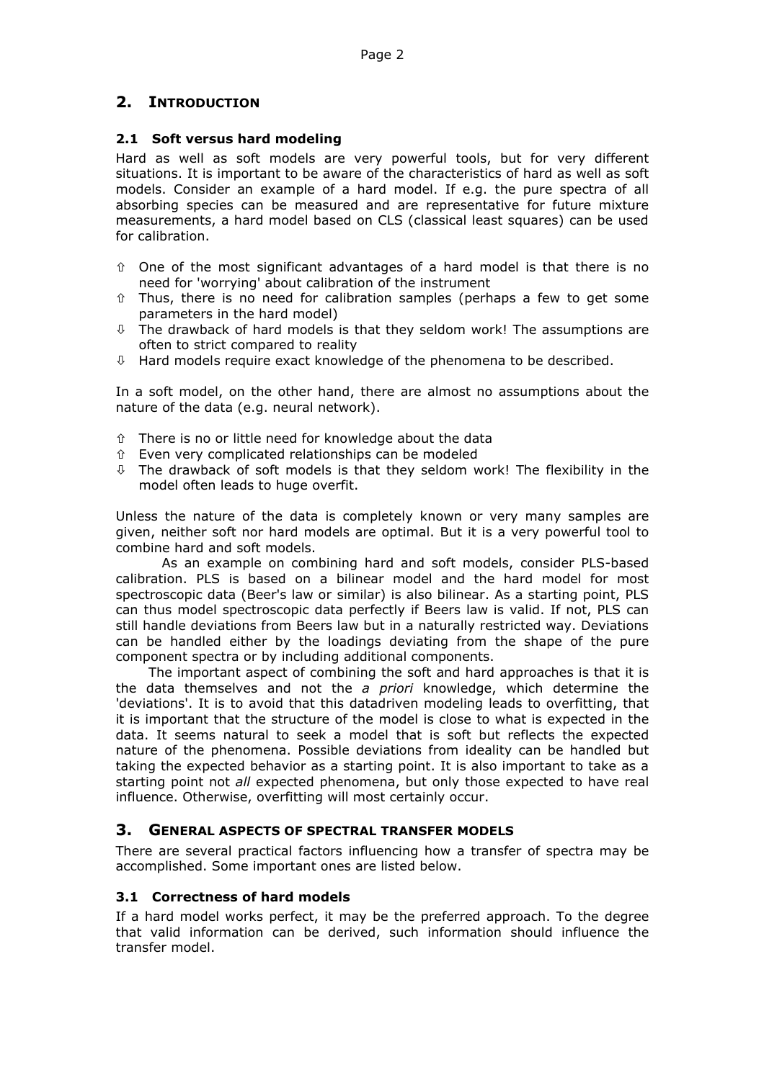# **2. INTRODUCTION**

## **2.1 Soft versus hard modeling**

Hard as well as soft models are very powerful tools, but for very different situations. It is important to be aware of the characteristics of hard as well as soft models. Consider an example of a hard model. If e.g. the pure spectra of all absorbing species can be measured and are representative for future mixture measurements, a hard model based on CLS (classical least squares) can be used for calibration.

- $\hat{v}$  One of the most significant advantages of a hard model is that there is no need for 'worrying' about calibration of the instrument
- $\hat{v}$  Thus, there is no need for calibration samples (perhaps a few to get some parameters in the hard model)
- $\overline{\psi}$  The drawback of hard models is that they seldom work! The assumptions are often to strict compared to reality
- $\updownarrow$  Hard models require exact knowledge of the phenomena to be described.

In a soft model, on the other hand, there are almost no assumptions about the nature of the data (e.g. neural network).

- $\hat{U}$  There is no or little need for knowledge about the data
- Ò Even very complicated relationships can be modeled
- $\theta$  The drawback of soft models is that they seldom work! The flexibility in the model often leads to huge overfit.

Unless the nature of the data is completely known or very many samples are given, neither soft nor hard models are optimal. But it is a very powerful tool to combine hard and soft models.

As an example on combining hard and soft models, consider PLS-based calibration. PLS is based on a bilinear model and the hard model for most spectroscopic data (Beer's law or similar) is also bilinear. As a starting point, PLS can thus model spectroscopic data perfectly if Beers law is valid. If not, PLS can still handle deviations from Beers law but in a naturally restricted way. Deviations can be handled either by the loadings deviating from the shape of the pure component spectra or by including additional components.

The important aspect of combining the soft and hard approaches is that it is the data themselves and not the *a priori* knowledge, which determine the 'deviations'. It is to avoid that this datadriven modeling leads to overfitting, that it is important that the structure of the model is close to what is expected in the data. It seems natural to seek a model that is soft but reflects the expected nature of the phenomena. Possible deviations from ideality can be handled but taking the expected behavior as a starting point. It is also important to take as a starting point not *all* expected phenomena, but only those expected to have real influence. Otherwise, overfitting will most certainly occur.

## **3. GENERAL ASPECTS OF SPECTRAL TRANSFER MODELS**

There are several practical factors influencing how a transfer of spectra may be accomplished. Some important ones are listed below.

#### **3.1 Correctness of hard models**

If a hard model works perfect, it may be the preferred approach. To the degree that valid information can be derived, such information should influence the transfer model.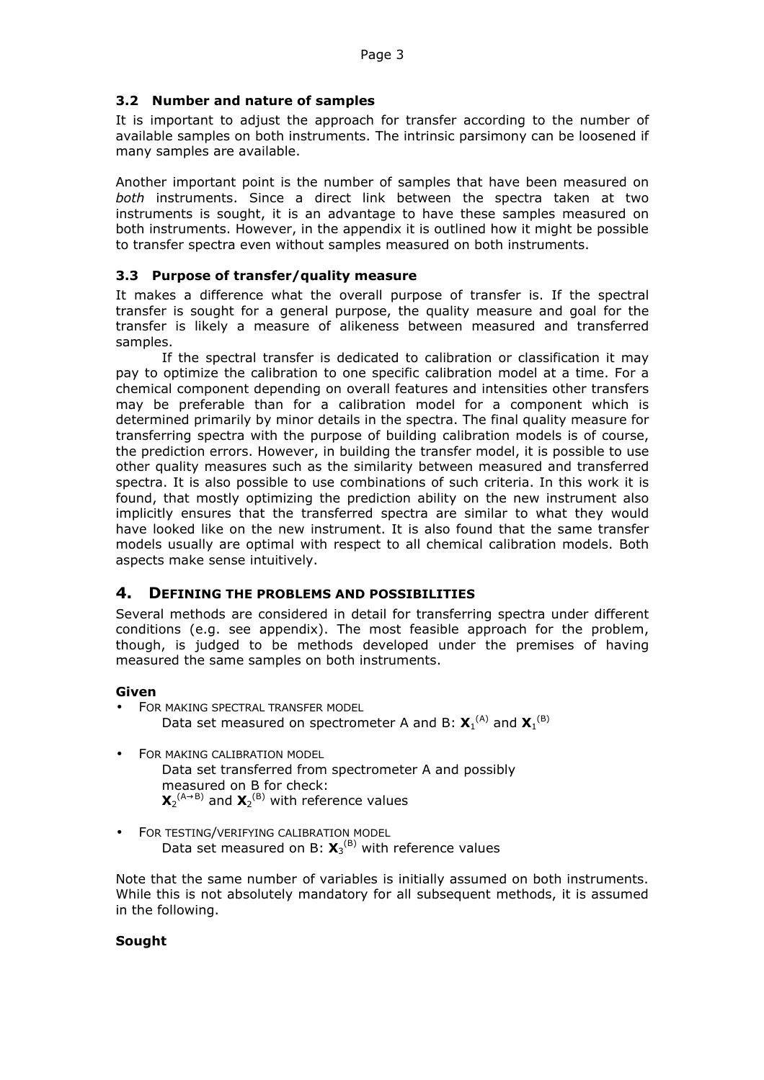## **3.2 Number and nature of samples**

It is important to adjust the approach for transfer according to the number of available samples on both instruments. The intrinsic parsimony can be loosened if many samples are available.

Another important point is the number of samples that have been measured on *both* instruments. Since a direct link between the spectra taken at two instruments is sought, it is an advantage to have these samples measured on both instruments. However, in the appendix it is outlined how it might be possible to transfer spectra even without samples measured on both instruments.

### **3.3 Purpose of transfer/quality measure**

It makes a difference what the overall purpose of transfer is. If the spectral transfer is sought for a general purpose, the quality measure and goal for the transfer is likely a measure of alikeness between measured and transferred samples.

If the spectral transfer is dedicated to calibration or classification it may pay to optimize the calibration to one specific calibration model at a time. For a chemical component depending on overall features and intensities other transfers may be preferable than for a calibration model for a component which is determined primarily by minor details in the spectra. The final quality measure for transferring spectra with the purpose of building calibration models is of course, the prediction errors. However, in building the transfer model, it is possible to use other quality measures such as the similarity between measured and transferred spectra. It is also possible to use combinations of such criteria. In this work it is found, that mostly optimizing the prediction ability on the new instrument also implicitly ensures that the transferred spectra are similar to what they would have looked like on the new instrument. It is also found that the same transfer models usually are optimal with respect to all chemical calibration models. Both aspects make sense intuitively.

## **4. DEFINING THE PROBLEMS AND POSSIBILITIES**

Several methods are considered in detail for transferring spectra under different conditions (e.g. see appendix). The most feasible approach for the problem, though, is judged to be methods developed under the premises of having measured the same samples on both instruments.

## **Given**

- FOR MAKING SPECTRAL TRANSFER MODEL Data set measured on spectrometer A and B:  $X_1^{(A)}$  and  $X_1^{(B)}$
- FOR MAKING CALIBRATION MODEL Data set transferred from spectrometer A and possibly measured on B for check:  $\mathbf{X}_{2}^{(A\rightarrow B)}$  and  $\mathbf{X}_{2}^{(B)}$  with reference values
- FOR TESTING/VERIFYING CALIBRATION MODEL Data set measured on B:  $X_3^{(B)}$  with reference values

Note that the same number of variables is initially assumed on both instruments. While this is not absolutely mandatory for all subsequent methods, it is assumed in the following.

## **Sought**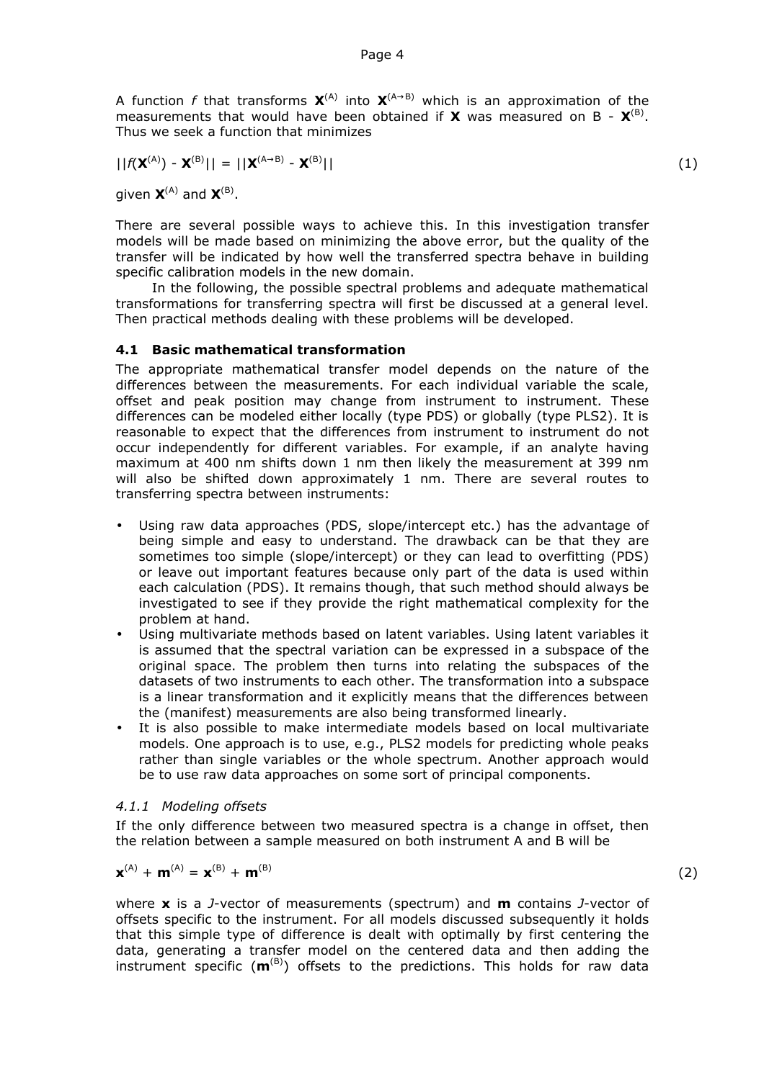A function *f* that transforms  $X^{(A)}$  into  $X^{(A\rightarrow B)}$  which is an approximation of the measurements that would have been obtained if  $X$  was measured on B -  $X^{(B)}$ . Thus we seek a function that minimizes

$$
||f(\mathbf{X}^{(A)}) - \mathbf{X}^{(B)}|| = ||\mathbf{X}^{(A \rightarrow B)} - \mathbf{X}^{(B)}||
$$
\n(1)

given  $X^{(A)}$  and  $X^{(B)}$ .

There are several possible ways to achieve this. In this investigation transfer models will be made based on minimizing the above error, but the quality of the transfer will be indicated by how well the transferred spectra behave in building specific calibration models in the new domain.

In the following, the possible spectral problems and adequate mathematical transformations for transferring spectra will first be discussed at a general level. Then practical methods dealing with these problems will be developed.

#### **4.1 Basic mathematical transformation**

The appropriate mathematical transfer model depends on the nature of the differences between the measurements. For each individual variable the scale, offset and peak position may change from instrument to instrument. These differences can be modeled either locally (type PDS) or globally (type PLS2). It is reasonable to expect that the differences from instrument to instrument do not occur independently for different variables. For example, if an analyte having maximum at 400 nm shifts down 1 nm then likely the measurement at 399 nm will also be shifted down approximately 1 nm. There are several routes to transferring spectra between instruments:

- Using raw data approaches (PDS, slope/intercept etc.) has the advantage of being simple and easy to understand. The drawback can be that they are sometimes too simple (slope/intercept) or they can lead to overfitting (PDS) or leave out important features because only part of the data is used within each calculation (PDS). It remains though, that such method should always be investigated to see if they provide the right mathematical complexity for the problem at hand.
- Using multivariate methods based on latent variables. Using latent variables it is assumed that the spectral variation can be expressed in a subspace of the original space. The problem then turns into relating the subspaces of the datasets of two instruments to each other. The transformation into a subspace is a linear transformation and it explicitly means that the differences between the (manifest) measurements are also being transformed linearly.
- It is also possible to make intermediate models based on local multivariate models. One approach is to use, e.g., PLS2 models for predicting whole peaks rather than single variables or the whole spectrum. Another approach would be to use raw data approaches on some sort of principal components.

#### *4.1.1 Modeling offsets*

If the only difference between two measured spectra is a change in offset, then the relation between a sample measured on both instrument A and B will be

$$
\mathbf{x}^{(A)} + \mathbf{m}^{(A)} = \mathbf{x}^{(B)} + \mathbf{m}^{(B)}
$$
 (2)

where **x** is a *J*-vector of measurements (spectrum) and **m** contains *J*-vector of offsets specific to the instrument. For all models discussed subsequently it holds that this simple type of difference is dealt with optimally by first centering the data, generating a transfer model on the centered data and then adding the instrument specific  $(m^{(B)})$  offsets to the predictions. This holds for raw data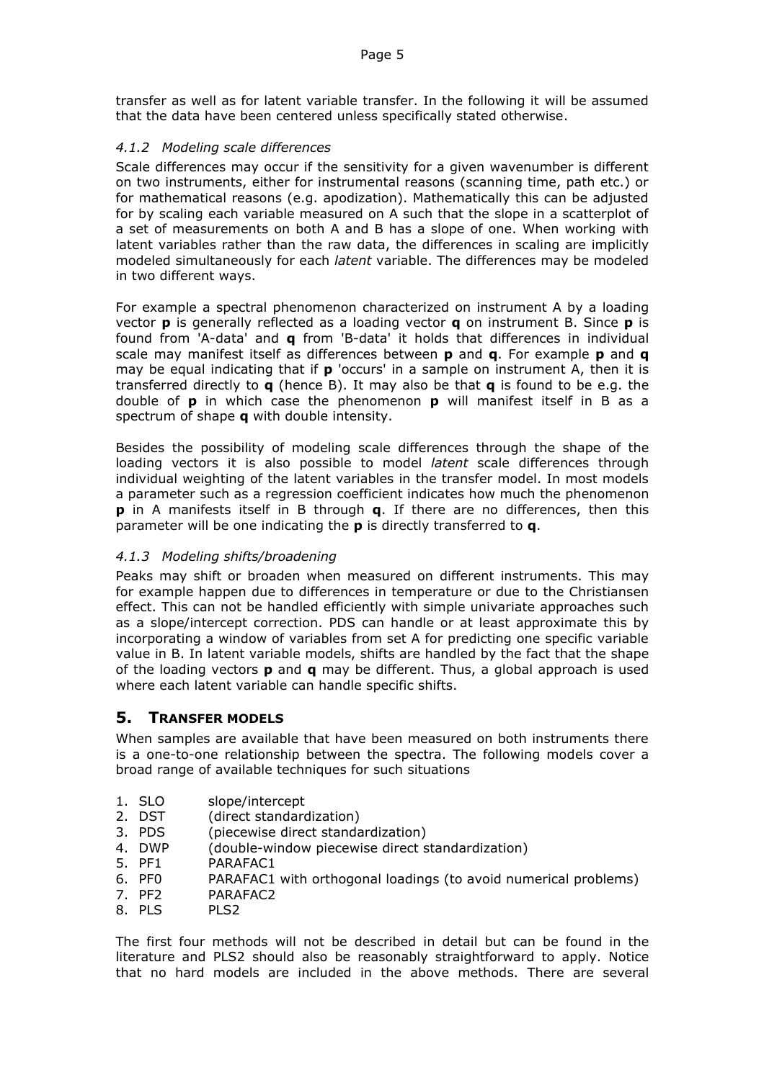transfer as well as for latent variable transfer. In the following it will be assumed that the data have been centered unless specifically stated otherwise.

## *4.1.2 Modeling scale differences*

Scale differences may occur if the sensitivity for a given wavenumber is different on two instruments, either for instrumental reasons (scanning time, path etc.) or for mathematical reasons (e.g. apodization). Mathematically this can be adjusted for by scaling each variable measured on A such that the slope in a scatterplot of a set of measurements on both A and B has a slope of one. When working with latent variables rather than the raw data, the differences in scaling are implicitly modeled simultaneously for each *latent* variable. The differences may be modeled in two different ways.

For example a spectral phenomenon characterized on instrument A by a loading vector **p** is generally reflected as a loading vector **q** on instrument B. Since **p** is found from 'A-data' and **q** from 'B-data' it holds that differences in individual scale may manifest itself as differences between **p** and **q**. For example **p** and **q** may be equal indicating that if **p** 'occurs' in a sample on instrument A, then it is transferred directly to **q** (hence B). It may also be that **q** is found to be e.g. the double of **p** in which case the phenomenon **p** will manifest itself in B as a spectrum of shape **q** with double intensity.

Besides the possibility of modeling scale differences through the shape of the loading vectors it is also possible to model *latent* scale differences through individual weighting of the latent variables in the transfer model. In most models a parameter such as a regression coefficient indicates how much the phenomenon **p** in A manifests itself in B through **q**. If there are no differences, then this parameter will be one indicating the **p** is directly transferred to **q**.

## *4.1.3 Modeling shifts/broadening*

Peaks may shift or broaden when measured on different instruments. This may for example happen due to differences in temperature or due to the Christiansen effect. This can not be handled efficiently with simple univariate approaches such as a slope/intercept correction. PDS can handle or at least approximate this by incorporating a window of variables from set A for predicting one specific variable value in B. In latent variable models, shifts are handled by the fact that the shape of the loading vectors **p** and **q** may be different. Thus, a global approach is used where each latent variable can handle specific shifts.

## **5. TRANSFER MODELS**

When samples are available that have been measured on both instruments there is a one-to-one relationship between the spectra. The following models cover a broad range of available techniques for such situations

- 1. SLO slope/intercept
- 2. DST (direct standardization)
- 3. PDS (piecewise direct standardization)
- 4. DWP (double-window piecewise direct standardization)
- 5. PF1 PARAFAC1
- 6. PF0 PARAFAC1 with orthogonal loadings (to avoid numerical problems)
- 7. PF2 PARAFAC2
- 8. PLS. PLS.

The first four methods will not be described in detail but can be found in the literature and PLS2 should also be reasonably straightforward to apply. Notice that no hard models are included in the above methods. There are several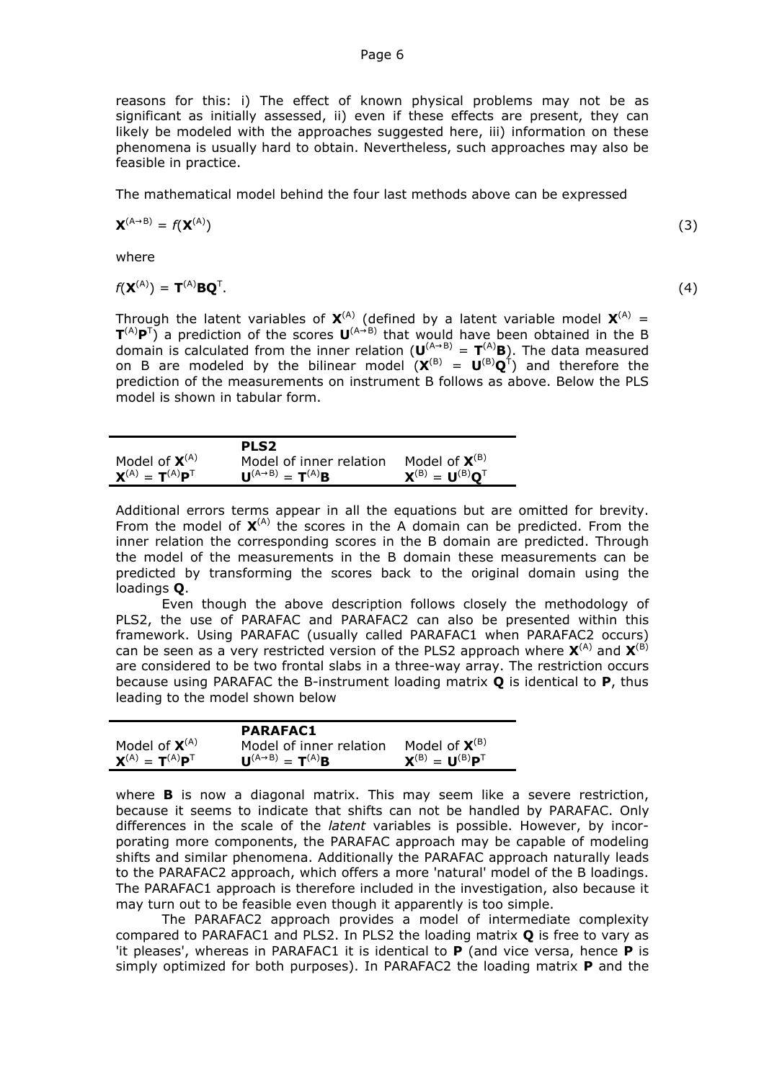reasons for this: i) The effect of known physical problems may not be as significant as initially assessed, ii) even if these effects are present, they can likely be modeled with the approaches suggested here, iii) information on these phenomena is usually hard to obtain. Nevertheless, such approaches may also be feasible in practice.

The mathematical model behind the four last methods above can be expressed

$$
\mathbf{X}^{(A \to B)} = f(\mathbf{X}^{(A)})
$$
 (3)

where

$$
f(\mathbf{X}^{(A)}) = \mathbf{T}^{(A)} \mathbf{B} \mathbf{Q}^{\mathsf{T}}.
$$

Through the latent variables of  $X^{(A)}$  (defined by a latent variable model  $X^{(A)}$  = **T** (A)**P** T ) a prediction of the scores **U** (A→B) that would have been obtained in the B domain is calculated from the inner relation  $(U^{(A\rightarrow B)} = T^{(A)}B)$ . The data measured on B are modeled by the bilinear model  $(X^{(B)} = U^{(B)}Q^{T})$  and therefore the prediction of the measurements on instrument B follows as above. Below the PLS model is shown in tabular form.

|                          | <b>PLS2</b>                                                  |                          |
|--------------------------|--------------------------------------------------------------|--------------------------|
| Model of $X^{(A)}$       | Model of inner relation                                      | Model of $X^{(B)}$       |
| $X^{(A)} = T^{(A)}P^{T}$ | $\mathbf{U}^{(A\rightarrow B)} = \mathbf{T}^{(A)}\mathbf{B}$ | $X^{(B)} = U^{(B)}O^{T}$ |

Additional errors terms appear in all the equations but are omitted for brevity. From the model of  $X^{(A)}$  the scores in the A domain can be predicted. From the inner relation the corresponding scores in the B domain are predicted. Through the model of the measurements in the B domain these measurements can be predicted by transforming the scores back to the original domain using the loadings **Q**.

Even though the above description follows closely the methodology of PLS2, the use of PARAFAC and PARAFAC2 can also be presented within this framework. Using PARAFAC (usually called PARAFAC1 when PARAFAC2 occurs) can be seen as a very restricted version of the PLS2 approach where  $X^{(A)}$  and  $X^{(B)}$ are considered to be two frontal slabs in a three-way array. The restriction occurs because using PARAFAC the B-instrument loading matrix **Q** is identical to **P**, thus leading to the model shown below

|                          | <b>PARAFAC1</b>                                       |                                             |
|--------------------------|-------------------------------------------------------|---------------------------------------------|
| Model of $X^{(A)}$       | Model of inner relation                               | Model of $X^{(B)}$                          |
| $X^{(A)} = T^{(A)}P^{T}$ | $\Pi^{(A\rightarrow B)} = \mathbf{T}^{(A)}\mathbf{R}$ | ${\bf X}^{(B)} = {\bf U}^{(B)} {\bf P}^{T}$ |

where **B** is now a diagonal matrix. This may seem like a severe restriction, because it seems to indicate that shifts can not be handled by PARAFAC. Only differences in the scale of the *latent* variables is possible. However, by incorporating more components, the PARAFAC approach may be capable of modeling shifts and similar phenomena. Additionally the PARAFAC approach naturally leads to the PARAFAC2 approach, which offers a more 'natural' model of the B loadings. The PARAFAC1 approach is therefore included in the investigation, also because it may turn out to be feasible even though it apparently is too simple.

The PARAFAC2 approach provides a model of intermediate complexity compared to PARAFAC1 and PLS2. In PLS2 the loading matrix **Q** is free to vary as 'it pleases', whereas in PARAFAC1 it is identical to **P** (and vice versa, hence **P** is simply optimized for both purposes). In PARAFAC2 the loading matrix **P** and the

.  $(4)$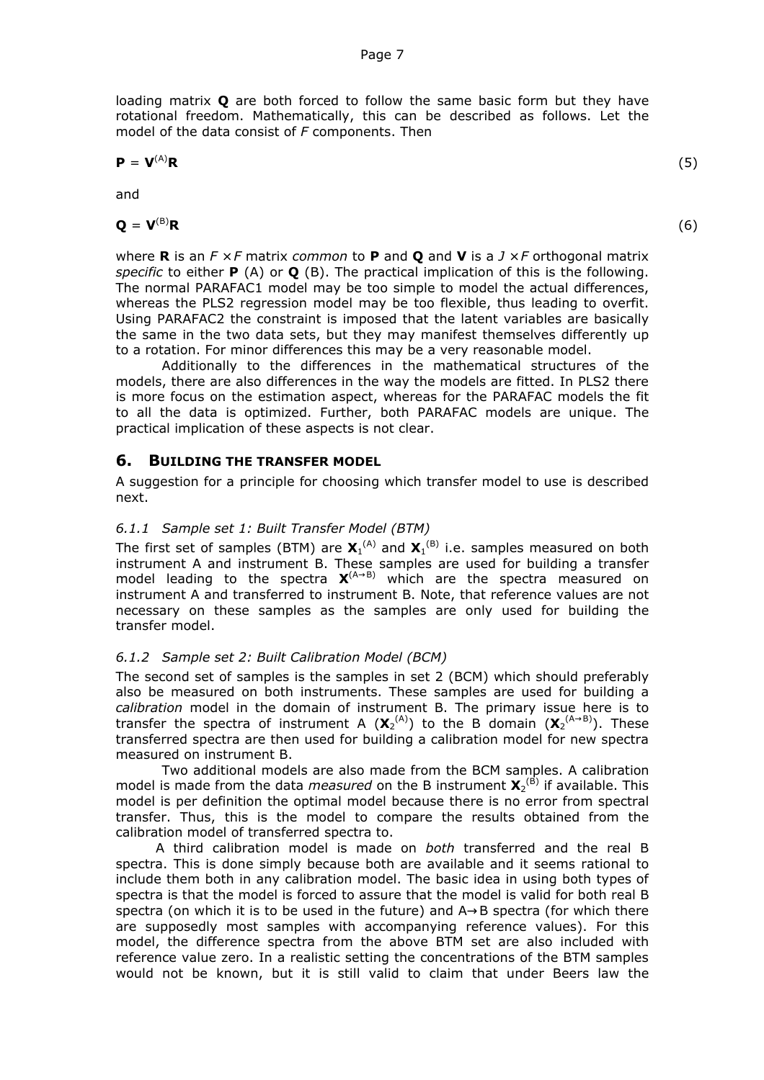loading matrix **Q** are both forced to follow the same basic form but they have rotational freedom. Mathematically, this can be described as follows. Let the model of the data consist of *F* components. Then

$$
\mathbf{P} = \mathbf{V}^{(A)} \mathbf{R} \tag{5}
$$

and

$$
\mathbf{Q} = \mathbf{V}^{(\text{B})}\mathbf{R} \tag{6}
$$

where **R** is an *F* × *F* matrix *common* to **P** and **Q** and **V** is a *J* × *F* orthogonal matrix *specific* to either **P** (A) or **Q** (B). The practical implication of this is the following. The normal PARAFAC1 model may be too simple to model the actual differences, whereas the PLS2 regression model may be too flexible, thus leading to overfit. Using PARAFAC2 the constraint is imposed that the latent variables are basically the same in the two data sets, but they may manifest themselves differently up to a rotation. For minor differences this may be a very reasonable model.

Additionally to the differences in the mathematical structures of the models, there are also differences in the way the models are fitted. In PLS2 there is more focus on the estimation aspect, whereas for the PARAFAC models the fit to all the data is optimized. Further, both PARAFAC models are unique. The practical implication of these aspects is not clear.

#### **6. BUILDING THE TRANSFER MODEL**

A suggestion for a principle for choosing which transfer model to use is described next.

#### *6.1.1 Sample set 1: Built Transfer Model (BTM)*

The first set of samples (BTM) are  $\mathbf{X}_1^{(\mathsf{A})}$  and  $\mathbf{X}_1^{(\mathsf{B})}$  i.e. samples measured on both instrument A and instrument B. These samples are used for building a transfer model leading to the spectra  $X^{(A\rightarrow B)}$  which are the spectra measured on instrument A and transferred to instrument B. Note, that reference values are not necessary on these samples as the samples are only used for building the transfer model.

## *6.1.2 Sample set 2: Built Calibration Model (BCM)*

The second set of samples is the samples in set 2 (BCM) which should preferably also be measured on both instruments. These samples are used for building a *calibration* model in the domain of instrument B. The primary issue here is to transfer the spectra of instrument A  $(X_2^{(A)})$  to the B domain  $(X_2^{(A\rightarrow B)})$ . These transferred spectra are then used for building a calibration model for new spectra measured on instrument B.

Two additional models are also made from the BCM samples. A calibration model is made from the data *measured* on the B instrument  $\mathbf{X}_2^{(\mathsf{B})}$  if available. This model is per definition the optimal model because there is no error from spectral transfer. Thus, this is the model to compare the results obtained from the calibration model of transferred spectra to.

A third calibration model is made on *both* transferred and the real B spectra. This is done simply because both are available and it seems rational to include them both in any calibration model. The basic idea in using both types of spectra is that the model is forced to assure that the model is valid for both real B spectra (on which it is to be used in the future) and A→B spectra (for which there are supposedly most samples with accompanying reference values). For this model, the difference spectra from the above BTM set are also included with reference value zero. In a realistic setting the concentrations of the BTM samples would not be known, but it is still valid to claim that under Beers law the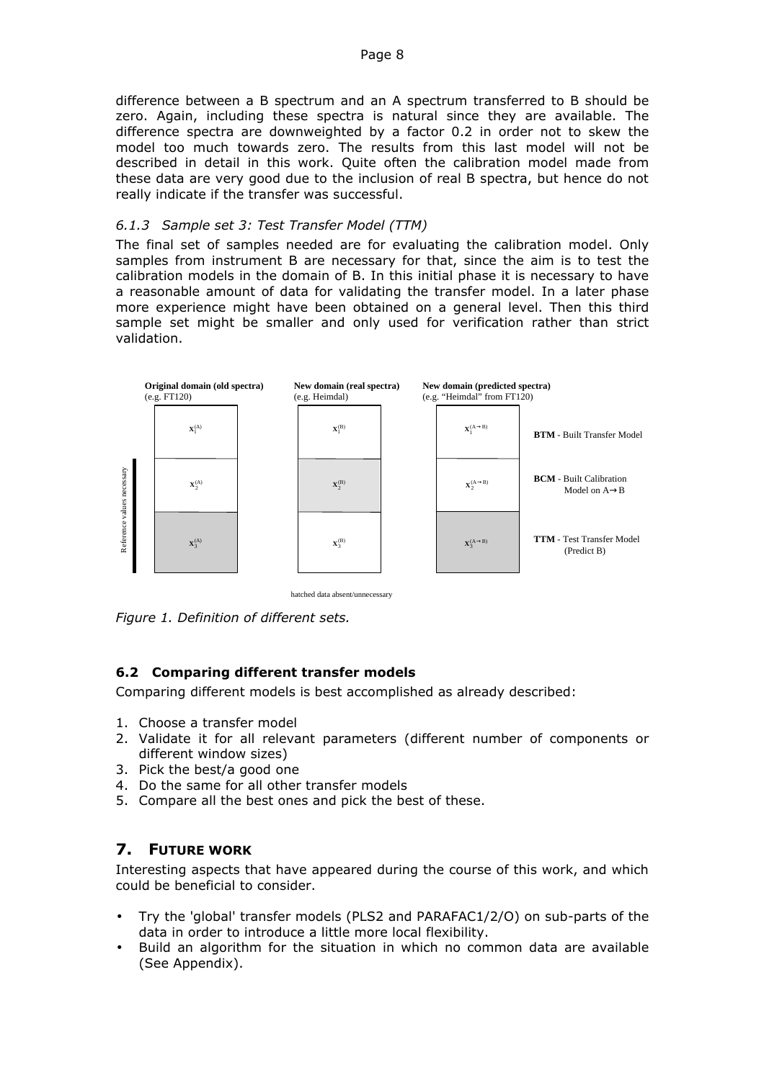difference between a B spectrum and an A spectrum transferred to B should be zero. Again, including these spectra is natural since they are available. The difference spectra are downweighted by a factor 0.2 in order not to skew the model too much towards zero. The results from this last model will not be described in detail in this work. Quite often the calibration model made from these data are very good due to the inclusion of real B spectra, but hence do not really indicate if the transfer was successful.

#### *6.1.3 Sample set 3: Test Transfer Model (TTM)*

The final set of samples needed are for evaluating the calibration model. Only samples from instrument B are necessary for that, since the aim is to test the calibration models in the domain of B. In this initial phase it is necessary to have a reasonable amount of data for validating the transfer model. In a later phase more experience might have been obtained on a general level. Then this third sample set might be smaller and only used for verification rather than strict validation.



hatched data absent/unnecessary

*Figure 1. Definition of different sets.*

## **6.2 Comparing different transfer models**

Comparing different models is best accomplished as already described:

- 1. Choose a transfer model
- 2. Validate it for all relevant parameters (different number of components or different window sizes)
- 3. Pick the best/a good one
- 4. Do the same for all other transfer models
- 5. Compare all the best ones and pick the best of these.

# **7. FUTURE WORK**

Interesting aspects that have appeared during the course of this work, and which could be beneficial to consider.

- Try the 'global' transfer models (PLS2 and PARAFAC1/2/O) on sub-parts of the data in order to introduce a little more local flexibility.
- Build an algorithm for the situation in which no common data are available (See Appendix).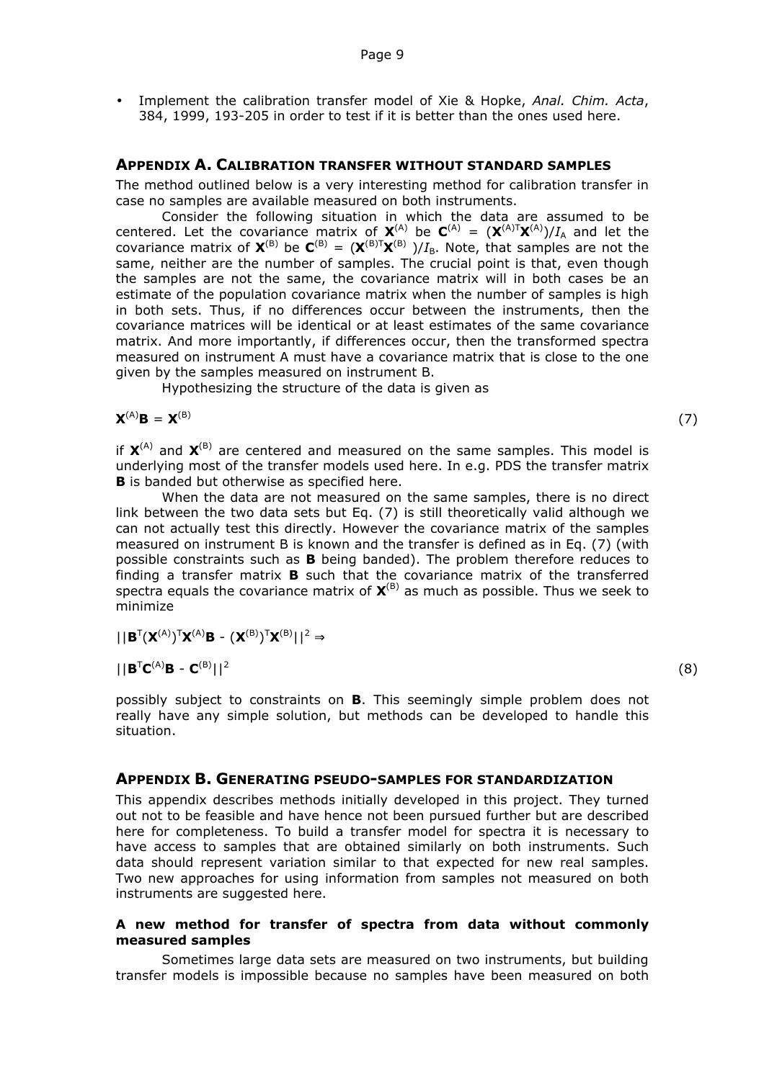• Implement the calibration transfer model of Xie & Hopke, *Anal. Chim. Acta*, 384, 1999, 193-205 in order to test if it is better than the ones used here.

#### **APPENDIX A. CALIBRATION TRANSFER WITHOUT STANDARD SAMPLES**

The method outlined below is a very interesting method for calibration transfer in case no samples are available measured on both instruments.

Consider the following situation in which the data are assumed to be centered. Let the covariance matrix of  $X^{(A)}$  be  $C^{(A)} = (X^{(A)T}X^{(A)})/I_A$  and let the covariance matrix of  $X^{(B)}$  be  $C^{(B)} = (X^{(B)T}X^{(B)})/I_B$ . Note, that samples are not the same, neither are the number of samples. The crucial point is that, even though the samples are not the same, the covariance matrix will in both cases be an estimate of the population covariance matrix when the number of samples is high in both sets. Thus, if no differences occur between the instruments, then the covariance matrices will be identical or at least estimates of the same covariance matrix. And more importantly, if differences occur, then the transformed spectra measured on instrument A must have a covariance matrix that is close to the one given by the samples measured on instrument B.

Hypothesizing the structure of the data is given as

$$
\bm{X}^{(A)}\bm{B}\,=\,\bm{X}^{(B)}
$$

 $(7)$ 

(8)

if  $X^{(A)}$  and  $X^{(B)}$  are centered and measured on the same samples. This model is underlying most of the transfer models used here. In e.g. PDS the transfer matrix **B** is banded but otherwise as specified here.

When the data are not measured on the same samples, there is no direct link between the two data sets but Eq. (7) is still theoretically valid although we can not actually test this directly. However the covariance matrix of the samples measured on instrument B is known and the transfer is defined as in Eq. (7) (with possible constraints such as **B** being banded). The problem therefore reduces to finding a transfer matrix **B** such that the covariance matrix of the transferred spectra equals the covariance matrix of **X** (B) as much as possible. Thus we seek to minimize

 $\vert\vert \mathbf{B}^{T}(\mathbf{X}^{(A)})^{T}\mathbf{X}^{(A)}\mathbf{B} - (\mathbf{X}^{(B)})^{T}\mathbf{X}^{(B)}\vert\,\vert^{2} \Rightarrow$ 

 $||\mathbf{B}^{T}\mathbf{C}^{(A)}\mathbf{B} - \mathbf{C}^{(B)}||^{2}$ 

possibly subject to constraints on **B**. This seemingly simple problem does not really have any simple solution, but methods can be developed to handle this situation.

#### **APPENDIX B. GENERATING PSEUDO-SAMPLES FOR STANDARDIZATION**

This appendix describes methods initially developed in this project. They turned out not to be feasible and have hence not been pursued further but are described here for completeness. To build a transfer model for spectra it is necessary to have access to samples that are obtained similarly on both instruments. Such data should represent variation similar to that expected for new real samples. Two new approaches for using information from samples not measured on both instruments are suggested here.

#### **A new method for transfer of spectra from data without commonly measured samples**

Sometimes large data sets are measured on two instruments, but building transfer models is impossible because no samples have been measured on both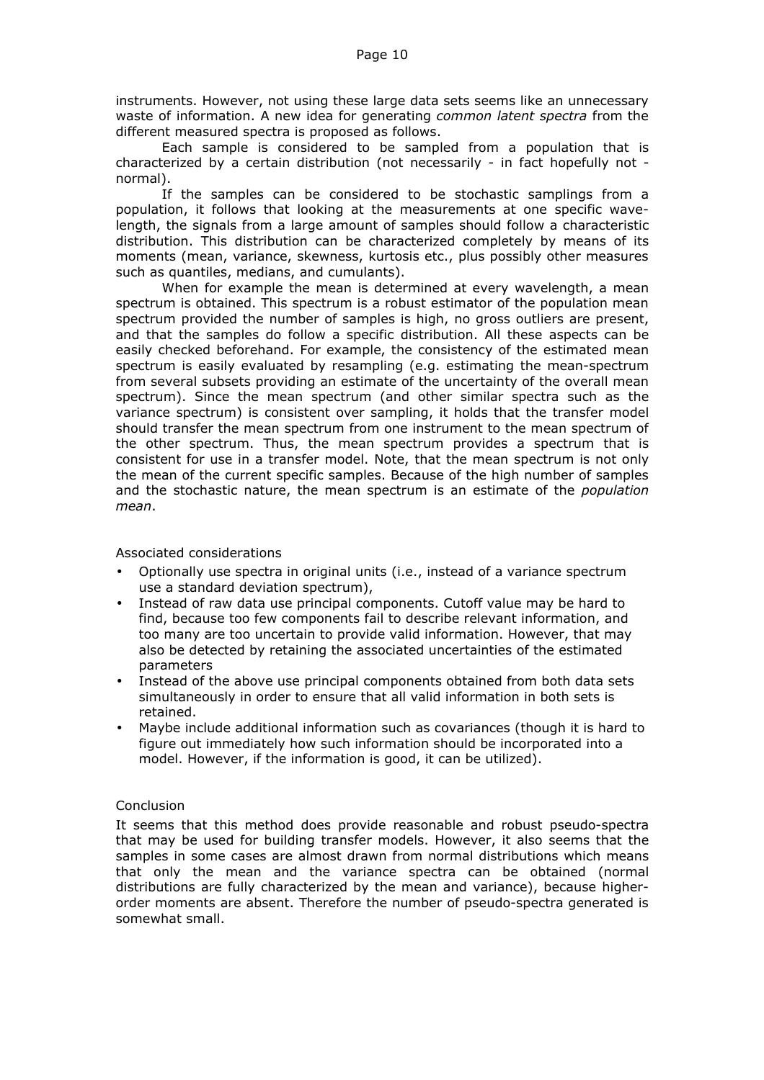instruments. However, not using these large data sets seems like an unnecessary waste of information. A new idea for generating *common latent spectra* from the different measured spectra is proposed as follows.

Each sample is considered to be sampled from a population that is characterized by a certain distribution (not necessarily - in fact hopefully not normal).

If the samples can be considered to be stochastic samplings from a population, it follows that looking at the measurements at one specific wavelength, the signals from a large amount of samples should follow a characteristic distribution. This distribution can be characterized completely by means of its moments (mean, variance, skewness, kurtosis etc., plus possibly other measures such as quantiles, medians, and cumulants).

When for example the mean is determined at every wavelength, a mean spectrum is obtained. This spectrum is a robust estimator of the population mean spectrum provided the number of samples is high, no gross outliers are present, and that the samples do follow a specific distribution. All these aspects can be easily checked beforehand. For example, the consistency of the estimated mean spectrum is easily evaluated by resampling (e.g. estimating the mean-spectrum from several subsets providing an estimate of the uncertainty of the overall mean spectrum). Since the mean spectrum (and other similar spectra such as the variance spectrum) is consistent over sampling, it holds that the transfer model should transfer the mean spectrum from one instrument to the mean spectrum of the other spectrum. Thus, the mean spectrum provides a spectrum that is consistent for use in a transfer model. Note, that the mean spectrum is not only the mean of the current specific samples. Because of the high number of samples and the stochastic nature, the mean spectrum is an estimate of the *population mean*.

#### Associated considerations

- Optionally use spectra in original units (i.e., instead of a variance spectrum use a standard deviation spectrum),
- Instead of raw data use principal components. Cutoff value may be hard to find, because too few components fail to describe relevant information, and too many are too uncertain to provide valid information. However, that may also be detected by retaining the associated uncertainties of the estimated parameters
- Instead of the above use principal components obtained from both data sets simultaneously in order to ensure that all valid information in both sets is retained.
- Maybe include additional information such as covariances (though it is hard to figure out immediately how such information should be incorporated into a model. However, if the information is good, it can be utilized).

#### Conclusion

It seems that this method does provide reasonable and robust pseudo-spectra that may be used for building transfer models. However, it also seems that the samples in some cases are almost drawn from normal distributions which means that only the mean and the variance spectra can be obtained (normal distributions are fully characterized by the mean and variance), because higherorder moments are absent. Therefore the number of pseudo-spectra generated is somewhat small.